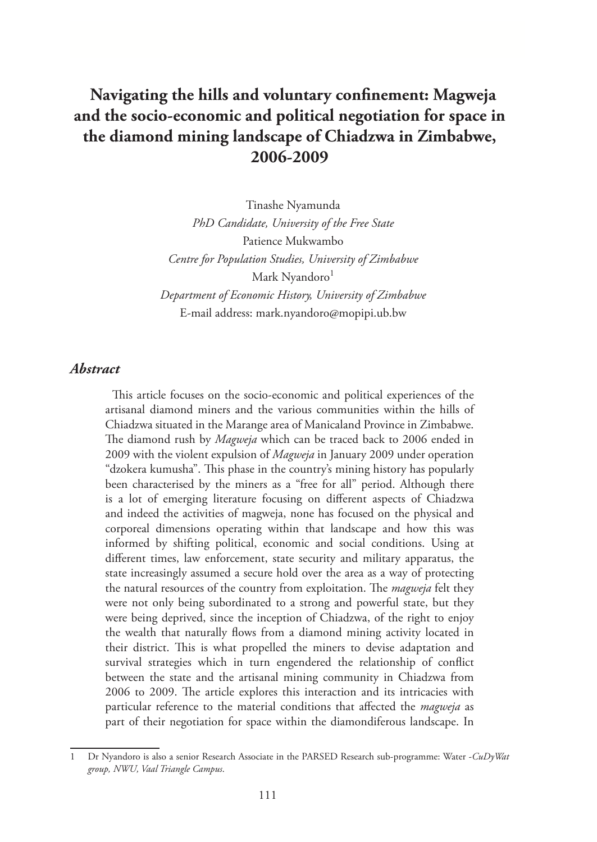# **Navigating the hills and voluntary confinement: Magweja and the socio-economic and political negotiation for space in the diamond mining landscape of Chiadzwa in Zimbabwe, 2006-2009**

Tinashe Nyamunda *PhD Candidate, University of the Free State*  Patience Mukwambo *Centre for Population Studies, University of Zimbabwe* Mark Nyandoro<sup>1</sup> *Department of Economic History, University of Zimbabwe* E-mail address: mark.nyandoro@mopipi.ub.bw

# *Abstract*

This article focuses on the socio-economic and political experiences of the artisanal diamond miners and the various communities within the hills of Chiadzwa situated in the Marange area of Manicaland Province in Zimbabwe. The diamond rush by *Magweja* which can be traced back to 2006 ended in 2009 with the violent expulsion of *Magweja* in January 2009 under operation "dzokera kumusha". This phase in the country's mining history has popularly been characterised by the miners as a "free for all" period. Although there is a lot of emerging literature focusing on different aspects of Chiadzwa and indeed the activities of magweja, none has focused on the physical and corporeal dimensions operating within that landscape and how this was informed by shifting political, economic and social conditions. Using at different times, law enforcement, state security and military apparatus, the state increasingly assumed a secure hold over the area as a way of protecting the natural resources of the country from exploitation. The *magweja* felt they were not only being subordinated to a strong and powerful state, but they were being deprived, since the inception of Chiadzwa, of the right to enjoy the wealth that naturally flows from a diamond mining activity located in their district. This is what propelled the miners to devise adaptation and survival strategies which in turn engendered the relationship of conflict between the state and the artisanal mining community in Chiadzwa from 2006 to 2009. The article explores this interaction and its intricacies with particular reference to the material conditions that affected the *magweja* as part of their negotiation for space within the diamondiferous landscape. In

<sup>1</sup> Dr Nyandoro is also a senior Research Associate in the PARSED Research sub-programme: Water -*CuDyWat group, NWU, Vaal Triangle Campus*.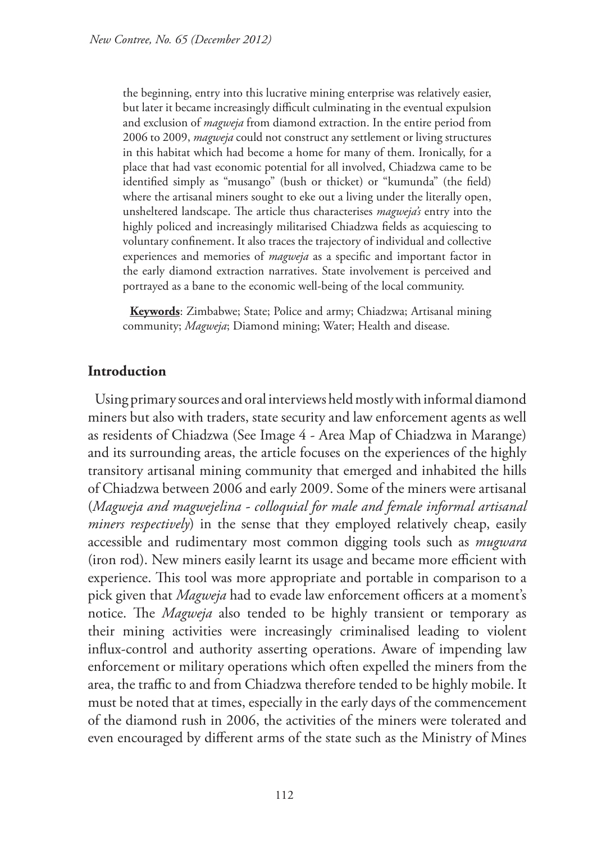the beginning, entry into this lucrative mining enterprise was relatively easier, but later it became increasingly difficult culminating in the eventual expulsion and exclusion of *magweja* from diamond extraction. In the entire period from 2006 to 2009, *magweja* could not construct any settlement or living structures in this habitat which had become a home for many of them. Ironically, for a place that had vast economic potential for all involved, Chiadzwa came to be identified simply as "musango" (bush or thicket) or "kumunda" (the field) where the artisanal miners sought to eke out a living under the literally open, unsheltered landscape. The article thus characterises *magweja's* entry into the highly policed and increasingly militarised Chiadzwa fields as acquiescing to voluntary confinement. It also traces the trajectory of individual and collective experiences and memories of *magweja* as a specific and important factor in the early diamond extraction narratives. State involvement is perceived and portrayed as a bane to the economic well-being of the local community.

**Keywords**: Zimbabwe; State; Police and army; Chiadzwa; Artisanal mining community; *Magweja*; Diamond mining; Water; Health and disease.

# **Introduction**

Using primary sources and oral interviews held mostly with informal diamond miners but also with traders, state security and law enforcement agents as well as residents of Chiadzwa (See Image 4 - Area Map of Chiadzwa in Marange) and its surrounding areas, the article focuses on the experiences of the highly transitory artisanal mining community that emerged and inhabited the hills of Chiadzwa between 2006 and early 2009. Some of the miners were artisanal (*Magweja and magwejelina - colloquial for male and female informal artisanal miners respectively*) in the sense that they employed relatively cheap, easily accessible and rudimentary most common digging tools such as *mugwara* (iron rod). New miners easily learnt its usage and became more efficient with experience. This tool was more appropriate and portable in comparison to a pick given that *Magweja* had to evade law enforcement officers at a moment's notice. The *Magweja* also tended to be highly transient or temporary as their mining activities were increasingly criminalised leading to violent influx-control and authority asserting operations. Aware of impending law enforcement or military operations which often expelled the miners from the area, the traffic to and from Chiadzwa therefore tended to be highly mobile. It must be noted that at times, especially in the early days of the commencement of the diamond rush in 2006, the activities of the miners were tolerated and even encouraged by different arms of the state such as the Ministry of Mines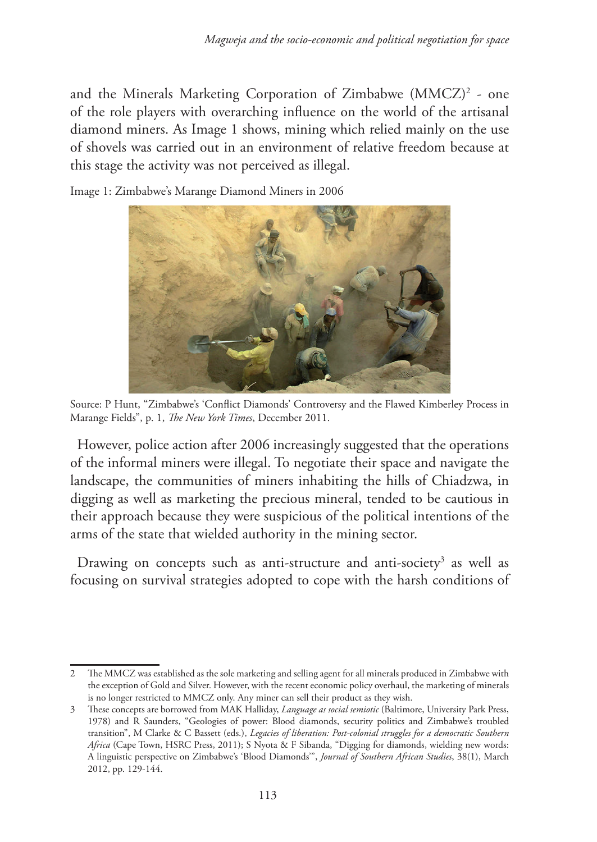and the Minerals Marketing Corporation of Zimbabwe (MMCZ)2 - one of the role players with overarching influence on the world of the artisanal diamond miners. As Image 1 shows, mining which relied mainly on the use of shovels was carried out in an environment of relative freedom because at this stage the activity was not perceived as illegal.

Image 1: Zimbabwe's Marange Diamond Miners in 2006



Source: P Hunt, "Zimbabwe's 'Conflict Diamonds' Controversy and the Flawed Kimberley Process in Marange Fields", p. 1, *The New York Times*, December 2011.

However, police action after 2006 increasingly suggested that the operations of the informal miners were illegal. To negotiate their space and navigate the landscape, the communities of miners inhabiting the hills of Chiadzwa, in digging as well as marketing the precious mineral, tended to be cautious in their approach because they were suspicious of the political intentions of the arms of the state that wielded authority in the mining sector.

Drawing on concepts such as anti-structure and anti-society<sup>3</sup> as well as focusing on survival strategies adopted to cope with the harsh conditions of

<sup>2</sup> The MMCZ was established as the sole marketing and selling agent for all minerals produced in Zimbabwe with the exception of Gold and Silver. However, with the recent economic policy overhaul, the marketing of minerals is no longer restricted to MMCZ only. Any miner can sell their product as they wish.

<sup>3</sup> These concepts are borrowed from MAK Halliday, *Language as social semiotic* (Baltimore, University Park Press, 1978) and R Saunders, "Geologies of power: Blood diamonds, security politics and Zimbabwe's troubled transition", M Clarke & C Bassett (eds.), *Legacies of liberation: Post-colonial struggles for a democratic Southern Africa* (Cape Town, HSRC Press, 2011); S Nyota & F Sibanda, "Digging for diamonds, wielding new words: A linguistic perspective on Zimbabwe's 'Blood Diamonds'", *Journal of Southern African Studies*, 38(1), March 2012, pp. 129-144.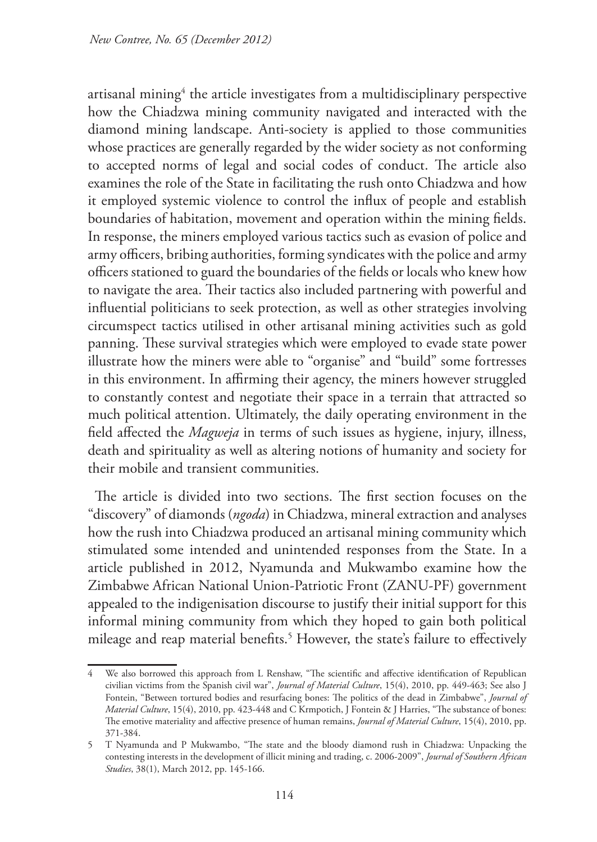artisanal mining $\mathrm{^4}$  the article investigates from a multidisciplinary perspective how the Chiadzwa mining community navigated and interacted with the diamond mining landscape. Anti-society is applied to those communities whose practices are generally regarded by the wider society as not conforming to accepted norms of legal and social codes of conduct. The article also examines the role of the State in facilitating the rush onto Chiadzwa and how it employed systemic violence to control the influx of people and establish boundaries of habitation, movement and operation within the mining fields. In response, the miners employed various tactics such as evasion of police and army officers, bribing authorities, forming syndicates with the police and army officers stationed to guard the boundaries of the fields or locals who knew how to navigate the area. Their tactics also included partnering with powerful and influential politicians to seek protection, as well as other strategies involving circumspect tactics utilised in other artisanal mining activities such as gold panning. These survival strategies which were employed to evade state power illustrate how the miners were able to "organise" and "build" some fortresses in this environment. In affirming their agency, the miners however struggled to constantly contest and negotiate their space in a terrain that attracted so much political attention. Ultimately, the daily operating environment in the field affected the *Magweja* in terms of such issues as hygiene, injury, illness, death and spirituality as well as altering notions of humanity and society for their mobile and transient communities.

The article is divided into two sections. The first section focuses on the "discovery" of diamonds (*ngoda*) in Chiadzwa, mineral extraction and analyses how the rush into Chiadzwa produced an artisanal mining community which stimulated some intended and unintended responses from the State. In a article published in 2012, Nyamunda and Mukwambo examine how the Zimbabwe African National Union-Patriotic Front (ZANU-PF) government appealed to the indigenisation discourse to justify their initial support for this informal mining community from which they hoped to gain both political mileage and reap material benefits.5 However, the state's failure to effectively

We also borrowed this approach from L Renshaw, "The scientific and affective identification of Republican civilian victims from the Spanish civil war", *Journal of Material Culture*, 15(4), 2010, pp. 449-463; See also J Fontein, "Between tortured bodies and resurfacing bones: The politics of the dead in Zimbabwe", *Journal of Material Culture*, 15(4), 2010, pp. 423-448 and C Krmpotich, J Fontein & J Harries, "The substance of bones: The emotive materiality and affective presence of human remains, *Journal of Material Culture*, 15(4), 2010, pp. 371-384.

<sup>5</sup> T Nyamunda and P Mukwambo, "The state and the bloody diamond rush in Chiadzwa: Unpacking the contesting interests in the development of illicit mining and trading, c. 2006-2009", *Journal of Southern African Studies*, 38(1), March 2012, pp. 145-166.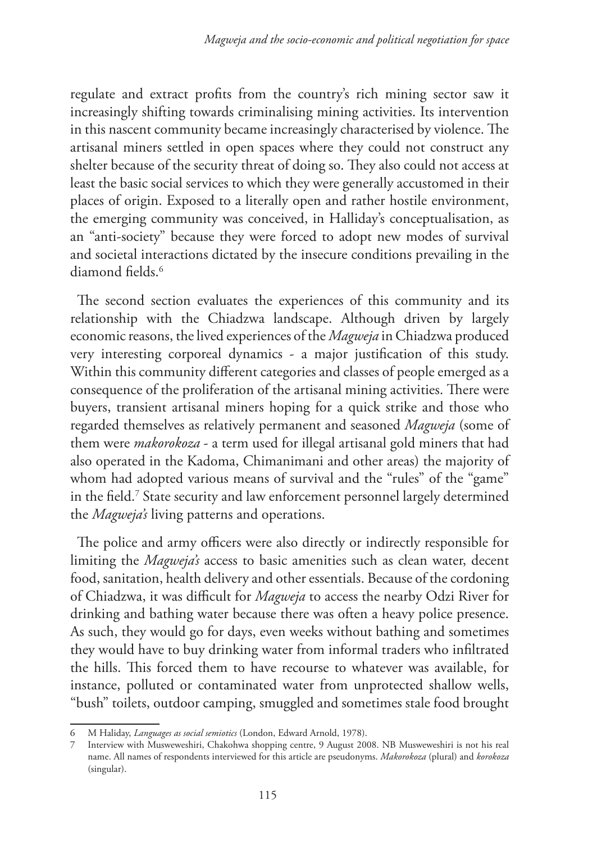regulate and extract profits from the country's rich mining sector saw it increasingly shifting towards criminalising mining activities. Its intervention in this nascent community became increasingly characterised by violence. The artisanal miners settled in open spaces where they could not construct any shelter because of the security threat of doing so. They also could not access at least the basic social services to which they were generally accustomed in their places of origin. Exposed to a literally open and rather hostile environment, the emerging community was conceived, in Halliday's conceptualisation, as an "anti-society" because they were forced to adopt new modes of survival and societal interactions dictated by the insecure conditions prevailing in the diamond fields.<sup>6</sup>

The second section evaluates the experiences of this community and its relationship with the Chiadzwa landscape. Although driven by largely economic reasons, the lived experiences of the *Magweja* in Chiadzwa produced very interesting corporeal dynamics - a major justification of this study. Within this community different categories and classes of people emerged as a consequence of the proliferation of the artisanal mining activities. There were buyers, transient artisanal miners hoping for a quick strike and those who regarded themselves as relatively permanent and seasoned *Magweja* (some of them were *makorokoza* - a term used for illegal artisanal gold miners that had also operated in the Kadoma, Chimanimani and other areas) the majority of whom had adopted various means of survival and the "rules" of the "game" in the field.7 State security and law enforcement personnel largely determined the *Magweja's* living patterns and operations.

The police and army officers were also directly or indirectly responsible for limiting the *Magweja's* access to basic amenities such as clean water, decent food, sanitation, health delivery and other essentials. Because of the cordoning of Chiadzwa, it was difficult for *Magweja* to access the nearby Odzi River for drinking and bathing water because there was often a heavy police presence. As such, they would go for days, even weeks without bathing and sometimes they would have to buy drinking water from informal traders who infiltrated the hills. This forced them to have recourse to whatever was available, for instance, polluted or contaminated water from unprotected shallow wells, "bush" toilets, outdoor camping, smuggled and sometimes stale food brought

<sup>6</sup> M Haliday, *Languages as social semiotics* (London, Edward Arnold, 1978).

<sup>7</sup> Interview with Musweweshiri, Chakohwa shopping centre, 9 August 2008. NB Musweweshiri is not his real name. All names of respondents interviewed for this article are pseudonyms. *Makorokoza* (plural) and *korokoza* (singular).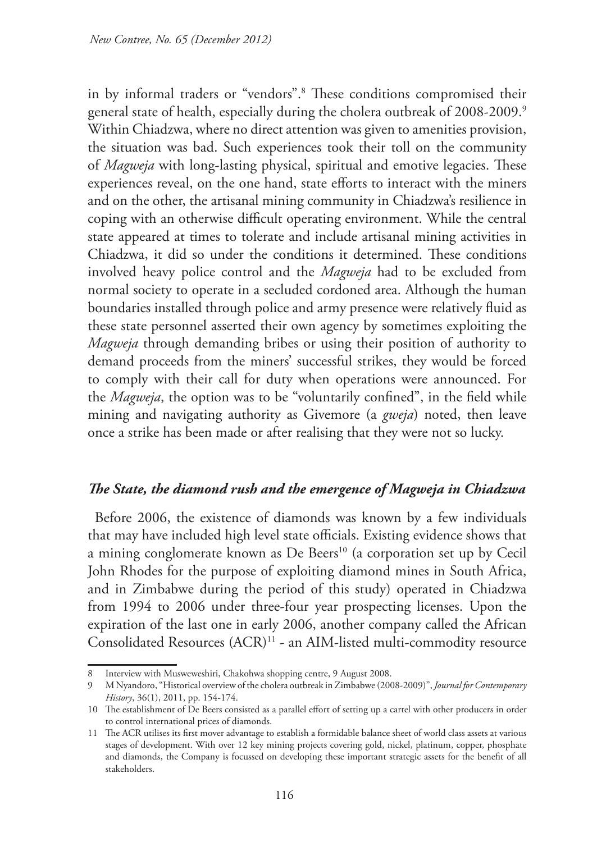in by informal traders or "vendors".8 These conditions compromised their general state of health, especially during the cholera outbreak of 2008-2009.<sup>9</sup> Within Chiadzwa, where no direct attention was given to amenities provision, the situation was bad. Such experiences took their toll on the community of *Magweja* with long-lasting physical, spiritual and emotive legacies. These experiences reveal, on the one hand, state efforts to interact with the miners and on the other, the artisanal mining community in Chiadzwa's resilience in coping with an otherwise difficult operating environment. While the central state appeared at times to tolerate and include artisanal mining activities in Chiadzwa, it did so under the conditions it determined. These conditions involved heavy police control and the *Magweja* had to be excluded from normal society to operate in a secluded cordoned area. Although the human boundaries installed through police and army presence were relatively fluid as these state personnel asserted their own agency by sometimes exploiting the *Magweja* through demanding bribes or using their position of authority to demand proceeds from the miners' successful strikes, they would be forced to comply with their call for duty when operations were announced. For the *Magweja*, the option was to be "voluntarily confined", in the field while mining and navigating authority as Givemore (a *gweja*) noted, then leave once a strike has been made or after realising that they were not so lucky.

#### *The State, the diamond rush and the emergence of Magweja in Chiadzwa*

Before 2006, the existence of diamonds was known by a few individuals that may have included high level state officials. Existing evidence shows that a mining conglomerate known as De Beers<sup>10</sup> (a corporation set up by Cecil John Rhodes for the purpose of exploiting diamond mines in South Africa, and in Zimbabwe during the period of this study) operated in Chiadzwa from 1994 to 2006 under three-four year prospecting licenses. Upon the expiration of the last one in early 2006, another company called the African Consolidated Resources (ACR)11 - an AIM-listed multi-commodity resource

<sup>8</sup> Interview with Musweweshiri, Chakohwa shopping centre, 9 August 2008.

<sup>9</sup> M Nyandoro, "Historical overview of the cholera outbreak in Zimbabwe (2008-2009)", *Journal for Contemporary History*, 36(1), 2011, pp. 154-174.

<sup>10</sup> The establishment of De Beers consisted as a parallel effort of setting up a cartel with other producers in order to control international prices of diamonds.

<sup>11</sup> The ACR utilises its first mover advantage to establish a formidable balance sheet of world class assets at various stages of development. With over 12 key mining projects covering gold, nickel, platinum, copper, phosphate and diamonds, the Company is focussed on developing these important strategic assets for the benefit of all stakeholders.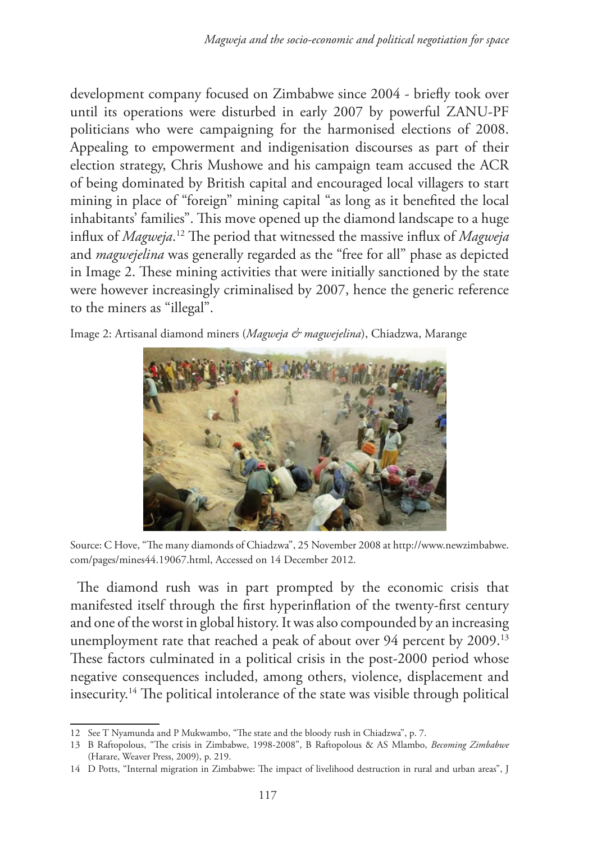development company focused on Zimbabwe since 2004 - briefly took over until its operations were disturbed in early 2007 by powerful ZANU-PF politicians who were campaigning for the harmonised elections of 2008. Appealing to empowerment and indigenisation discourses as part of their election strategy, Chris Mushowe and his campaign team accused the ACR of being dominated by British capital and encouraged local villagers to start mining in place of "foreign" mining capital "as long as it benefited the local inhabitants' families". This move opened up the diamond landscape to a huge influx of *Magweja*. 12 The period that witnessed the massive influx of *Magweja* and *magwejelina* was generally regarded as the "free for all" phase as depicted in Image 2. These mining activities that were initially sanctioned by the state were however increasingly criminalised by 2007, hence the generic reference to the miners as "illegal".





Source: C Hove, "The many diamonds of Chiadzwa", 25 November 2008 at http://www.newzimbabwe. com/pages/mines44.19067.html, Accessed on 14 December 2012.

The diamond rush was in part prompted by the economic crisis that manifested itself through the first hyperinflation of the twenty-first century and one of the worst in global history. It was also compounded by an increasing unemployment rate that reached a peak of about over 94 percent by 2009.<sup>13</sup> These factors culminated in a political crisis in the post-2000 period whose negative consequences included, among others, violence, displacement and insecurity.14 The political intolerance of the state was visible through political

<sup>12</sup> See T Nyamunda and P Mukwambo, "The state and the bloody rush in Chiadzwa", p. 7.

<sup>13</sup> B Raftopolous, "The crisis in Zimbabwe, 1998-2008", B Raftopolous & AS Mlambo, *Becoming Zimbabwe* (Harare, Weaver Press, 2009), p. 219.

<sup>14</sup> D Potts, "Internal migration in Zimbabwe: The impact of livelihood destruction in rural and urban areas", J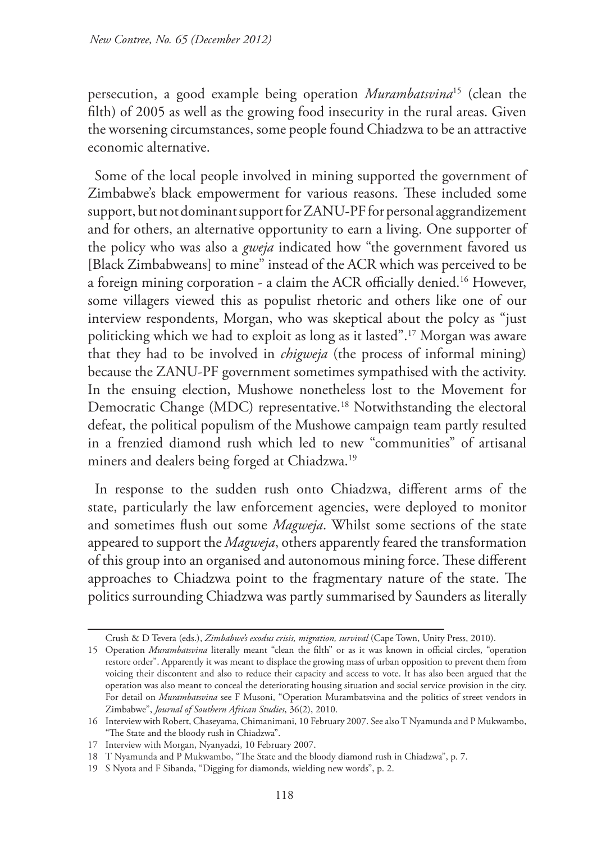persecution, a good example being operation *Murambatsvina*15 (clean the filth) of 2005 as well as the growing food insecurity in the rural areas. Given the worsening circumstances, some people found Chiadzwa to be an attractive economic alternative.

Some of the local people involved in mining supported the government of Zimbabwe's black empowerment for various reasons. These included some support, but not dominant support for ZANU-PF for personal aggrandizement and for others, an alternative opportunity to earn a living. One supporter of the policy who was also a *gweja* indicated how "the government favored us [Black Zimbabweans] to mine" instead of the ACR which was perceived to be a foreign mining corporation - a claim the ACR officially denied.16 However, some villagers viewed this as populist rhetoric and others like one of our interview respondents, Morgan, who was skeptical about the polcy as "just politicking which we had to exploit as long as it lasted".17 Morgan was aware that they had to be involved in *chigweja* (the process of informal mining) because the ZANU-PF government sometimes sympathised with the activity. In the ensuing election, Mushowe nonetheless lost to the Movement for Democratic Change (MDC) representative.<sup>18</sup> Notwithstanding the electoral defeat, the political populism of the Mushowe campaign team partly resulted in a frenzied diamond rush which led to new "communities" of artisanal miners and dealers being forged at Chiadzwa.19

In response to the sudden rush onto Chiadzwa, different arms of the state, particularly the law enforcement agencies, were deployed to monitor and sometimes flush out some *Magweja*. Whilst some sections of the state appeared to support the *Magweja*, others apparently feared the transformation of this group into an organised and autonomous mining force. These different approaches to Chiadzwa point to the fragmentary nature of the state. The politics surrounding Chiadzwa was partly summarised by Saunders as literally

Crush & D Tevera (eds.), *Zimbabwe's exodus crisis, migration, survival* (Cape Town, Unity Press, 2010).

<sup>15</sup> Operation *Murambatsvina* literally meant "clean the filth" or as it was known in official circles, "operation restore order". Apparently it was meant to displace the growing mass of urban opposition to prevent them from voicing their discontent and also to reduce their capacity and access to vote. It has also been argued that the operation was also meant to conceal the deteriorating housing situation and social service provision in the city. For detail on *Murambatsvina* see F Musoni, "Operation Murambatsvina and the politics of street vendors in Zimbabwe", *Journal of Southern African Studies*, 36(2), 2010.

<sup>16</sup> Interview with Robert, Chaseyama, Chimanimani, 10 February 2007. See also T Nyamunda and P Mukwambo, "The State and the bloody rush in Chiadzwa".

<sup>17</sup> Interview with Morgan, Nyanyadzi, 10 February 2007.

<sup>18</sup> T Nyamunda and P Mukwambo, "The State and the bloody diamond rush in Chiadzwa", p. 7.

<sup>19</sup> S Nyota and F Sibanda, "Digging for diamonds, wielding new words", p. 2.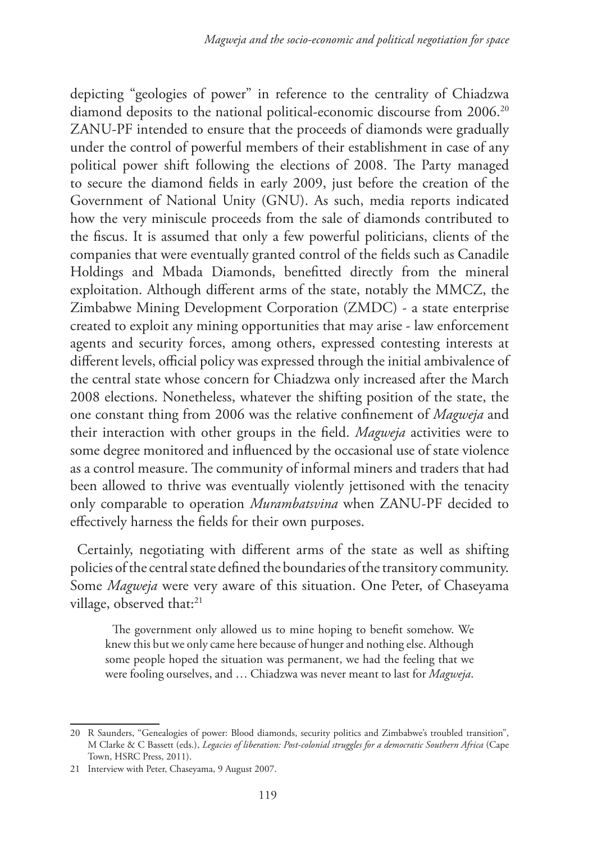depicting "geologies of power" in reference to the centrality of Chiadzwa diamond deposits to the national political-economic discourse from 2006.<sup>20</sup> ZANU-PF intended to ensure that the proceeds of diamonds were gradually under the control of powerful members of their establishment in case of any political power shift following the elections of 2008. The Party managed to secure the diamond fields in early 2009, just before the creation of the Government of National Unity (GNU). As such, media reports indicated how the very miniscule proceeds from the sale of diamonds contributed to the fiscus. It is assumed that only a few powerful politicians, clients of the companies that were eventually granted control of the fields such as Canadile Holdings and Mbada Diamonds, benefitted directly from the mineral exploitation. Although different arms of the state, notably the MMCZ, the Zimbabwe Mining Development Corporation (ZMDC) - a state enterprise created to exploit any mining opportunities that may arise - law enforcement agents and security forces, among others, expressed contesting interests at different levels, official policy was expressed through the initial ambivalence of the central state whose concern for Chiadzwa only increased after the March 2008 elections. Nonetheless, whatever the shifting position of the state, the one constant thing from 2006 was the relative confinement of *Magweja* and their interaction with other groups in the field. *Magweja* activities were to some degree monitored and influenced by the occasional use of state violence as a control measure. The community of informal miners and traders that had been allowed to thrive was eventually violently jettisoned with the tenacity only comparable to operation *Murambatsvina* when ZANU-PF decided to effectively harness the fields for their own purposes.

Certainly, negotiating with different arms of the state as well as shifting policies of the central state defined the boundaries of the transitory community. Some *Magweja* were very aware of this situation. One Peter, of Chaseyama village, observed that:<sup>21</sup>

The government only allowed us to mine hoping to benefit somehow. We knew this but we only came here because of hunger and nothing else. Although some people hoped the situation was permanent, we had the feeling that we were fooling ourselves, and … Chiadzwa was never meant to last for *Magweja*.

<sup>20</sup> R Saunders, "Genealogies of power: Blood diamonds, security politics and Zimbabwe's troubled transition", M Clarke & C Bassett (eds.), *Legacies of liberation: Post-colonial struggles for a democratic Southern Africa* (Cape Town, HSRC Press, 2011).

<sup>21</sup> Interview with Peter, Chaseyama, 9 August 2007.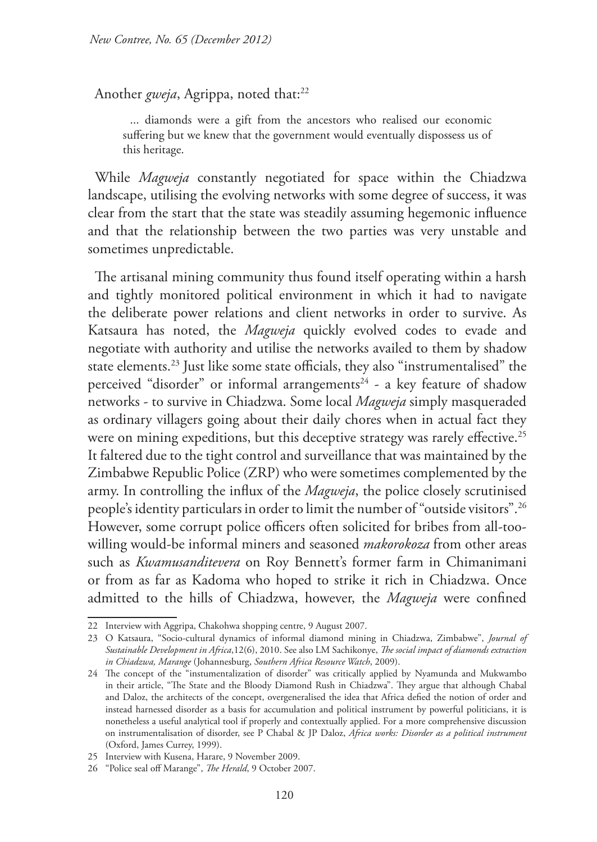Another *gweja*, Agrippa, noted that:<sup>22</sup>

... diamonds were a gift from the ancestors who realised our economic suffering but we knew that the government would eventually dispossess us of this heritage.

While *Magweja* constantly negotiated for space within the Chiadzwa landscape, utilising the evolving networks with some degree of success, it was clear from the start that the state was steadily assuming hegemonic influence and that the relationship between the two parties was very unstable and sometimes unpredictable.

The artisanal mining community thus found itself operating within a harsh and tightly monitored political environment in which it had to navigate the deliberate power relations and client networks in order to survive. As Katsaura has noted, the *Magweja* quickly evolved codes to evade and negotiate with authority and utilise the networks availed to them by shadow state elements.23 Just like some state officials, they also "instrumentalised" the perceived "disorder" or informal arrangements<sup>24</sup> - a key feature of shadow networks - to survive in Chiadzwa. Some local *Magweja* simply masqueraded as ordinary villagers going about their daily chores when in actual fact they were on mining expeditions, but this deceptive strategy was rarely effective.<sup>25</sup> It faltered due to the tight control and surveillance that was maintained by the Zimbabwe Republic Police (ZRP) who were sometimes complemented by the army. In controlling the influx of the *Magweja*, the police closely scrutinised people's identity particulars in order to limit the number of "outside visitors".26 However, some corrupt police officers often solicited for bribes from all-toowilling would-be informal miners and seasoned *makorokoza* from other areas such as *Kwamusanditevera* on Roy Bennett's former farm in Chimanimani or from as far as Kadoma who hoped to strike it rich in Chiadzwa. Once admitted to the hills of Chiadzwa, however, the *Magweja* were confined

<sup>22</sup> Interview with Aggripa, Chakohwa shopping centre, 9 August 2007.

<sup>23</sup> O Katsaura, "Socio-cultural dynamics of informal diamond mining in Chiadzwa, Zimbabwe", *Journal of Sustainable Development in Africa*,12(6), 2010. See also LM Sachikonye, *The social impact of diamonds extraction in Chiadzwa, Marange* (Johannesburg, *Southern Africa Resource Watch*, 2009).

<sup>24</sup> The concept of the "instumentalization of disorder" was critically applied by Nyamunda and Mukwambo in their article, "The State and the Bloody Diamond Rush in Chiadzwa". They argue that although Chabal and Daloz, the architects of the concept, overgeneralised the idea that Africa defied the notion of order and instead harnessed disorder as a basis for accumulation and political instrument by powerful politicians, it is nonetheless a useful analytical tool if properly and contextually applied. For a more comprehensive discussion on instrumentalisation of disorder, see P Chabal & JP Daloz, *Africa works: Disorder as a political instrument*  (Oxford, James Currey, 1999).

<sup>25</sup> Interview with Kusena, Harare, 9 November 2009.

<sup>26</sup> "Police seal off Marange", *The Herald*, 9 October 2007.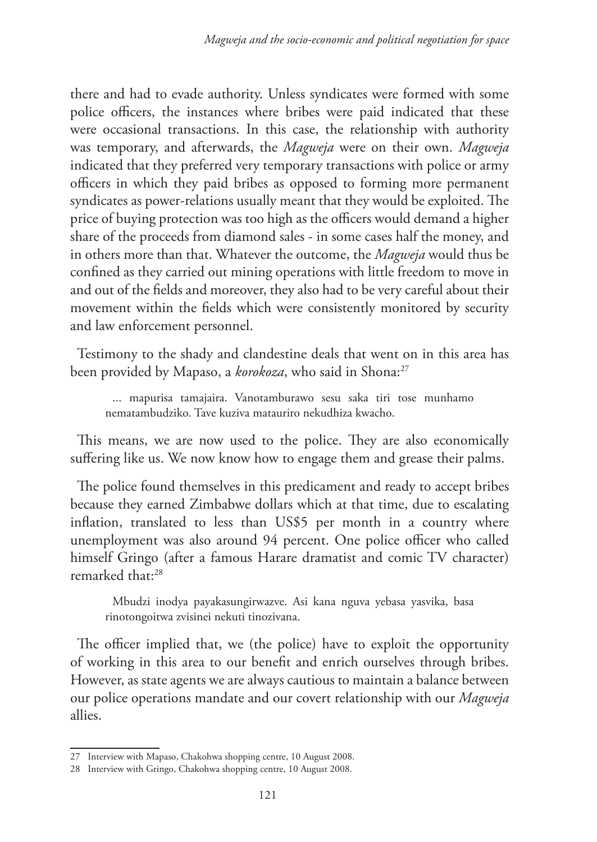there and had to evade authority. Unless syndicates were formed with some police officers, the instances where bribes were paid indicated that these were occasional transactions. In this case, the relationship with authority was temporary, and afterwards, the *Magweja* were on their own. *Magweja* indicated that they preferred very temporary transactions with police or army officers in which they paid bribes as opposed to forming more permanent syndicates as power-relations usually meant that they would be exploited. The price of buying protection was too high as the officers would demand a higher share of the proceeds from diamond sales - in some cases half the money, and in others more than that. Whatever the outcome, the *Magweja* would thus be confined as they carried out mining operations with little freedom to move in and out of the fields and moreover, they also had to be very careful about their movement within the fields which were consistently monitored by security and law enforcement personnel.

Testimony to the shady and clandestine deals that went on in this area has been provided by Mapaso, a *korokoza*, who said in Shona:<sup>27</sup>

... mapurisa tamajaira. Vanotamburawo sesu saka tiri tose munhamo nematambudziko. Tave kuziva matauriro nekudhiza kwacho.

This means, we are now used to the police. They are also economically suffering like us. We now know how to engage them and grease their palms.

The police found themselves in this predicament and ready to accept bribes because they earned Zimbabwe dollars which at that time, due to escalating inflation, translated to less than US\$5 per month in a country where unemployment was also around 94 percent. One police officer who called himself Gringo (after a famous Harare dramatist and comic TV character) remarked that:28

Mbudzi inodya payakasungirwazve. Asi kana nguva yebasa yasvika, basa rinotongoitwa zvisinei nekuti tinozivana.

The officer implied that, we (the police) have to exploit the opportunity of working in this area to our benefit and enrich ourselves through bribes. However, as state agents we are always cautious to maintain a balance between our police operations mandate and our covert relationship with our *Magweja* allies.

<sup>27</sup> Interview with Mapaso, Chakohwa shopping centre, 10 August 2008.

<sup>28</sup> Interview with Gringo, Chakohwa shopping centre, 10 August 2008.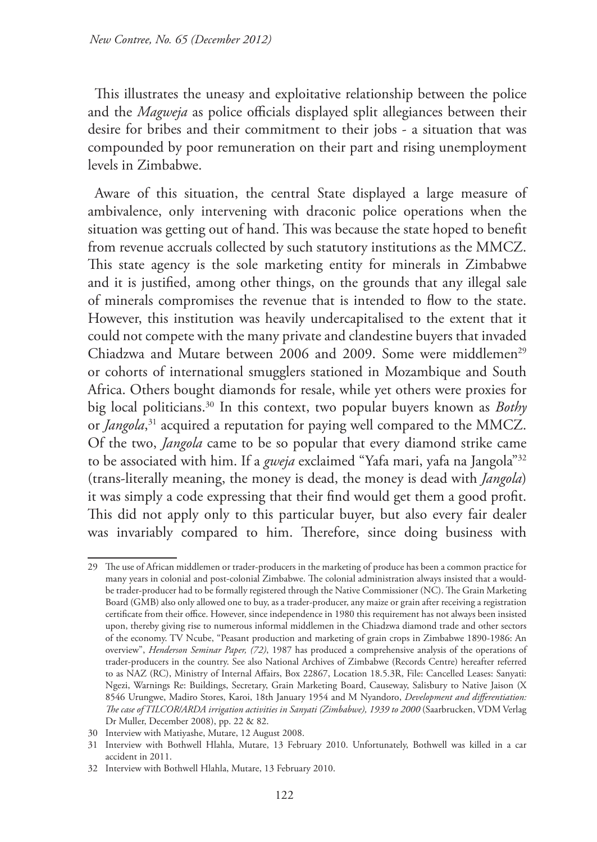This illustrates the uneasy and exploitative relationship between the police and the *Magweja* as police officials displayed split allegiances between their desire for bribes and their commitment to their jobs - a situation that was compounded by poor remuneration on their part and rising unemployment levels in Zimbabwe.

Aware of this situation, the central State displayed a large measure of ambivalence, only intervening with draconic police operations when the situation was getting out of hand. This was because the state hoped to benefit from revenue accruals collected by such statutory institutions as the MMCZ. This state agency is the sole marketing entity for minerals in Zimbabwe and it is justified, among other things, on the grounds that any illegal sale of minerals compromises the revenue that is intended to flow to the state. However, this institution was heavily undercapitalised to the extent that it could not compete with the many private and clandestine buyers that invaded Chiadzwa and Mutare between 2006 and 2009. Some were middlemen<sup>29</sup> or cohorts of international smugglers stationed in Mozambique and South Africa. Others bought diamonds for resale, while yet others were proxies for big local politicians.30 In this context, two popular buyers known as *Bothy* or *Jangola*, 31 acquired a reputation for paying well compared to the MMCZ. Of the two, *Jangola* came to be so popular that every diamond strike came to be associated with him. If a *gweja* exclaimed "Yafa mari, yafa na Jangola"32 (trans-literally meaning, the money is dead, the money is dead with *Jangola*) it was simply a code expressing that their find would get them a good profit. This did not apply only to this particular buyer, but also every fair dealer was invariably compared to him. Therefore, since doing business with

<sup>29</sup> The use of African middlemen or trader-producers in the marketing of produce has been a common practice for many years in colonial and post-colonial Zimbabwe. The colonial administration always insisted that a wouldbe trader-producer had to be formally registered through the Native Commissioner (NC). The Grain Marketing Board (GMB) also only allowed one to buy, as a trader-producer, any maize or grain after receiving a registration certificate from their office. However, since independence in 1980 this requirement has not always been insisted upon, thereby giving rise to numerous informal middlemen in the Chiadzwa diamond trade and other sectors of the economy. TV Ncube, "Peasant production and marketing of grain crops in Zimbabwe 1890-1986: An overview", *Henderson Seminar Paper, (72)*, 1987 has produced a comprehensive analysis of the operations of trader-producers in the country. See also National Archives of Zimbabwe (Records Centre) hereafter referred to as NAZ (RC), Ministry of Internal Affairs, Box 22867, Location 18.5.3R, File: Cancelled Leases: Sanyati: Ngezi, Warnings Re: Buildings, Secretary, Grain Marketing Board, Causeway, Salisbury to Native Jaison (X 8546 Urungwe, Madiro Stores, Karoi, 18th January 1954 and M Nyandoro, *Development and differentiation: The case of TILCOR/ARDA irrigation activities in Sanyati (Zimbabwe), 1939 to 2000* (Saarbrucken, VDM Verlag Dr Muller, December 2008), pp. 22 & 82.

<sup>30</sup> Interview with Matiyashe, Mutare, 12 August 2008.

<sup>31</sup> Interview with Bothwell Hlahla, Mutare, 13 February 2010. Unfortunately, Bothwell was killed in a car accident in 2011.

<sup>32</sup> Interview with Bothwell Hlahla, Mutare, 13 February 2010.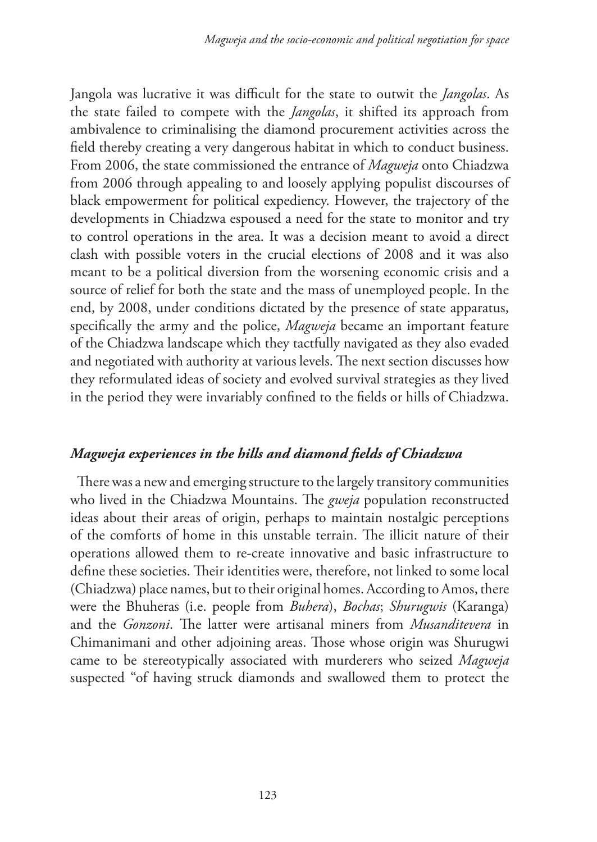Jangola was lucrative it was difficult for the state to outwit the *Jangolas*. As the state failed to compete with the *Jangolas*, it shifted its approach from ambivalence to criminalising the diamond procurement activities across the field thereby creating a very dangerous habitat in which to conduct business. From 2006, the state commissioned the entrance of *Magweja* onto Chiadzwa from 2006 through appealing to and loosely applying populist discourses of black empowerment for political expediency. However, the trajectory of the developments in Chiadzwa espoused a need for the state to monitor and try to control operations in the area. It was a decision meant to avoid a direct clash with possible voters in the crucial elections of 2008 and it was also meant to be a political diversion from the worsening economic crisis and a source of relief for both the state and the mass of unemployed people. In the end, by 2008, under conditions dictated by the presence of state apparatus, specifically the army and the police, *Magweja* became an important feature of the Chiadzwa landscape which they tactfully navigated as they also evaded and negotiated with authority at various levels. The next section discusses how they reformulated ideas of society and evolved survival strategies as they lived in the period they were invariably confined to the fields or hills of Chiadzwa.

# *Magweja experiences in the hills and diamond fields of Chiadzwa*

There was a new and emerging structure to the largely transitory communities who lived in the Chiadzwa Mountains. The *gweja* population reconstructed ideas about their areas of origin, perhaps to maintain nostalgic perceptions of the comforts of home in this unstable terrain. The illicit nature of their operations allowed them to re-create innovative and basic infrastructure to define these societies. Their identities were, therefore, not linked to some local (Chiadzwa) place names, but to their original homes. According to Amos, there were the Bhuheras (i.e. people from *Buhera*), *Bochas*; *Shurugwis* (Karanga) and the *Gonzoni*. The latter were artisanal miners from *Musanditevera* in Chimanimani and other adjoining areas. Those whose origin was Shurugwi came to be stereotypically associated with murderers who seized *Magweja* suspected "of having struck diamonds and swallowed them to protect the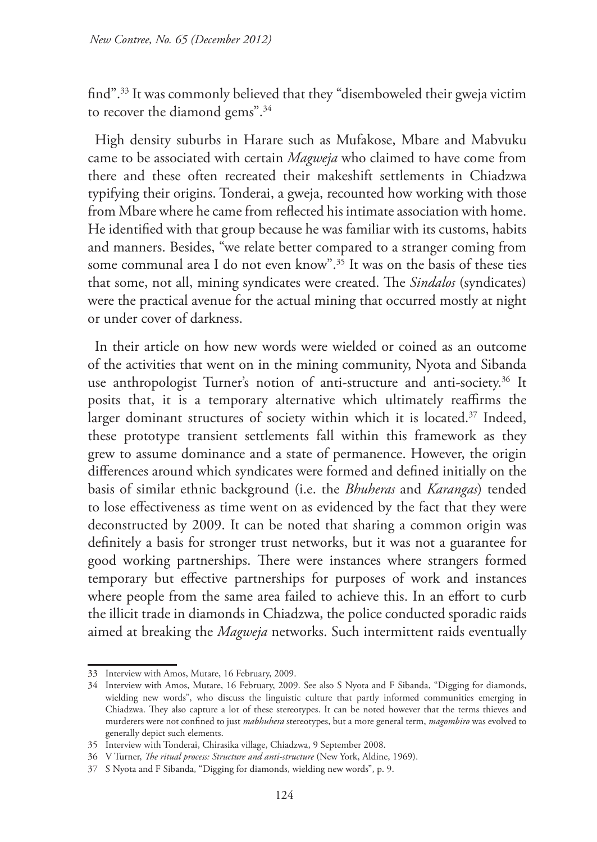find".33 It was commonly believed that they "disemboweled their gweja victim to recover the diamond gems".<sup>34</sup>

High density suburbs in Harare such as Mufakose, Mbare and Mabvuku came to be associated with certain *Magweja* who claimed to have come from there and these often recreated their makeshift settlements in Chiadzwa typifying their origins. Tonderai, a gweja, recounted how working with those from Mbare where he came from reflected his intimate association with home. He identified with that group because he was familiar with its customs, habits and manners. Besides, "we relate better compared to a stranger coming from some communal area I do not even know".<sup>35</sup> It was on the basis of these ties that some, not all, mining syndicates were created. The *Sindalos* (syndicates) were the practical avenue for the actual mining that occurred mostly at night or under cover of darkness.

In their article on how new words were wielded or coined as an outcome of the activities that went on in the mining community, Nyota and Sibanda use anthropologist Turner's notion of anti-structure and anti-society.<sup>36</sup> It posits that, it is a temporary alternative which ultimately reaffirms the larger dominant structures of society within which it is located.<sup>37</sup> Indeed, these prototype transient settlements fall within this framework as they grew to assume dominance and a state of permanence. However, the origin differences around which syndicates were formed and defined initially on the basis of similar ethnic background (i.e. the *Bhuheras* and *Karangas*) tended to lose effectiveness as time went on as evidenced by the fact that they were deconstructed by 2009. It can be noted that sharing a common origin was definitely a basis for stronger trust networks, but it was not a guarantee for good working partnerships. There were instances where strangers formed temporary but effective partnerships for purposes of work and instances where people from the same area failed to achieve this. In an effort to curb the illicit trade in diamonds in Chiadzwa, the police conducted sporadic raids aimed at breaking the *Magweja* networks. Such intermittent raids eventually

<sup>33</sup> Interview with Amos, Mutare, 16 February, 2009.

<sup>34</sup> Interview with Amos, Mutare, 16 February, 2009. See also S Nyota and F Sibanda, "Digging for diamonds, wielding new words", who discuss the linguistic culture that partly informed communities emerging in Chiadzwa. They also capture a lot of these stereotypes. It can be noted however that the terms thieves and murderers were not confined to just *mabhuhera* stereotypes, but a more general term, *magombiro* was evolved to generally depict such elements.

<sup>35</sup> Interview with Tonderai, Chirasika village, Chiadzwa, 9 September 2008.

<sup>36</sup> V Turner, *The ritual process: Structure and anti-structure* (New York, Aldine, 1969).

<sup>37</sup> S Nyota and F Sibanda, "Digging for diamonds, wielding new words", p. 9.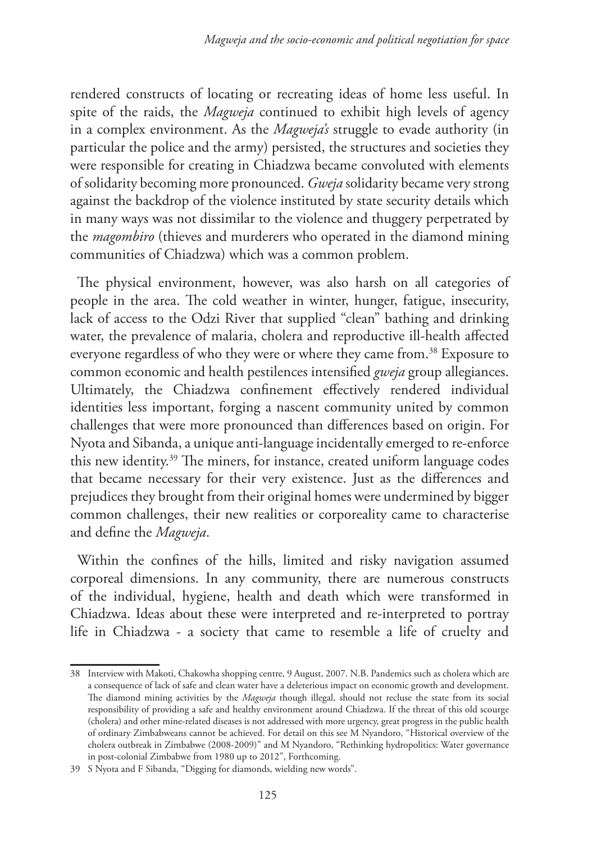rendered constructs of locating or recreating ideas of home less useful. In spite of the raids, the *Magweja* continued to exhibit high levels of agency in a complex environment. As the *Magweja's* struggle to evade authority (in particular the police and the army) persisted, the structures and societies they were responsible for creating in Chiadzwa became convoluted with elements of solidarity becoming more pronounced. *Gweja* solidarity became very strong against the backdrop of the violence instituted by state security details which in many ways was not dissimilar to the violence and thuggery perpetrated by the *magombiro* (thieves and murderers who operated in the diamond mining communities of Chiadzwa) which was a common problem.

The physical environment, however, was also harsh on all categories of people in the area. The cold weather in winter, hunger, fatigue, insecurity, lack of access to the Odzi River that supplied "clean" bathing and drinking water, the prevalence of malaria, cholera and reproductive ill-health affected everyone regardless of who they were or where they came from.<sup>38</sup> Exposure to common economic and health pestilences intensified *gweja* group allegiances. Ultimately, the Chiadzwa confinement effectively rendered individual identities less important, forging a nascent community united by common challenges that were more pronounced than differences based on origin. For Nyota and Sibanda, a unique anti-language incidentally emerged to re-enforce this new identity.39 The miners, for instance, created uniform language codes that became necessary for their very existence. Just as the differences and prejudices they brought from their original homes were undermined by bigger common challenges, their new realities or corporeality came to characterise and define the *Magweja*.

Within the confines of the hills, limited and risky navigation assumed corporeal dimensions. In any community, there are numerous constructs of the individual, hygiene, health and death which were transformed in Chiadzwa. Ideas about these were interpreted and re-interpreted to portray life in Chiadzwa - a society that came to resemble a life of cruelty and

<sup>38</sup> Interview with Makoti, Chakowha shopping centre, 9 August, 2007. N.B. Pandemics such as cholera which are a consequence of lack of safe and clean water have a deleterious impact on economic growth and development. The diamond mining activities by the *Magweja* though illegal, should not recluse the state from its social responsibility of providing a safe and healthy environment around Chiadzwa. If the threat of this old scourge (cholera) and other mine-related diseases is not addressed with more urgency, great progress in the public health of ordinary Zimbabweans cannot be achieved. For detail on this see M Nyandoro, "Historical overview of the cholera outbreak in Zimbabwe (2008-2009)" and M Nyandoro, "Rethinking hydropolitics: Water governance in post-colonial Zimbabwe from 1980 up to 2012", Forthcoming.

<sup>39</sup> S Nyota and F Sibanda, "Digging for diamonds, wielding new words".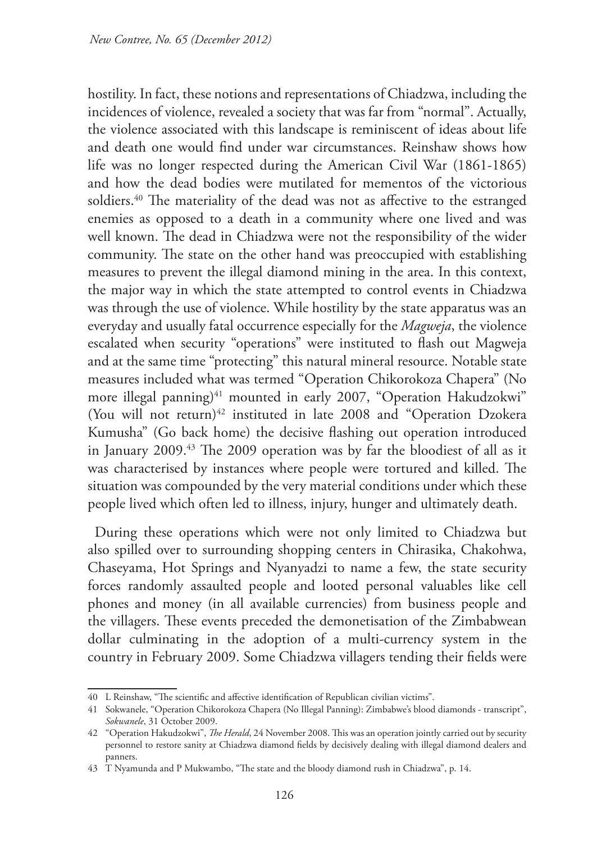hostility. In fact, these notions and representations of Chiadzwa, including the incidences of violence, revealed a society that was far from "normal". Actually, the violence associated with this landscape is reminiscent of ideas about life and death one would find under war circumstances. Reinshaw shows how life was no longer respected during the American Civil War (1861-1865) and how the dead bodies were mutilated for mementos of the victorious soldiers.<sup>40</sup> The materiality of the dead was not as affective to the estranged enemies as opposed to a death in a community where one lived and was well known. The dead in Chiadzwa were not the responsibility of the wider community. The state on the other hand was preoccupied with establishing measures to prevent the illegal diamond mining in the area. In this context, the major way in which the state attempted to control events in Chiadzwa was through the use of violence. While hostility by the state apparatus was an everyday and usually fatal occurrence especially for the *Magweja*, the violence escalated when security "operations" were instituted to flash out Magweja and at the same time "protecting" this natural mineral resource. Notable state measures included what was termed "Operation Chikorokoza Chapera" (No more illegal panning)<sup>41</sup> mounted in early 2007, "Operation Hakudzokwi" (You will not return) $42$  instituted in late 2008 and "Operation Dzokera Kumusha" (Go back home) the decisive flashing out operation introduced in January 2009.43 The 2009 operation was by far the bloodiest of all as it was characterised by instances where people were tortured and killed. The situation was compounded by the very material conditions under which these people lived which often led to illness, injury, hunger and ultimately death.

During these operations which were not only limited to Chiadzwa but also spilled over to surrounding shopping centers in Chirasika, Chakohwa, Chaseyama, Hot Springs and Nyanyadzi to name a few, the state security forces randomly assaulted people and looted personal valuables like cell phones and money (in all available currencies) from business people and the villagers. These events preceded the demonetisation of the Zimbabwean dollar culminating in the adoption of a multi-currency system in the country in February 2009. Some Chiadzwa villagers tending their fields were

<sup>40</sup> L Reinshaw, "The scientific and affective identification of Republican civilian victims".

<sup>41</sup> Sokwanele, "Operation Chikorokoza Chapera (No Illegal Panning): Zimbabwe's blood diamonds - transcript", *Sokwanele*, 31 October 2009.

<sup>42</sup> "Operation Hakudzokwi", *The Herald*, 24 November 2008. This was an operation jointly carried out by security personnel to restore sanity at Chiadzwa diamond fields by decisively dealing with illegal diamond dealers and panners.

<sup>43</sup> T Nyamunda and P Mukwambo, "The state and the bloody diamond rush in Chiadzwa", p. 14.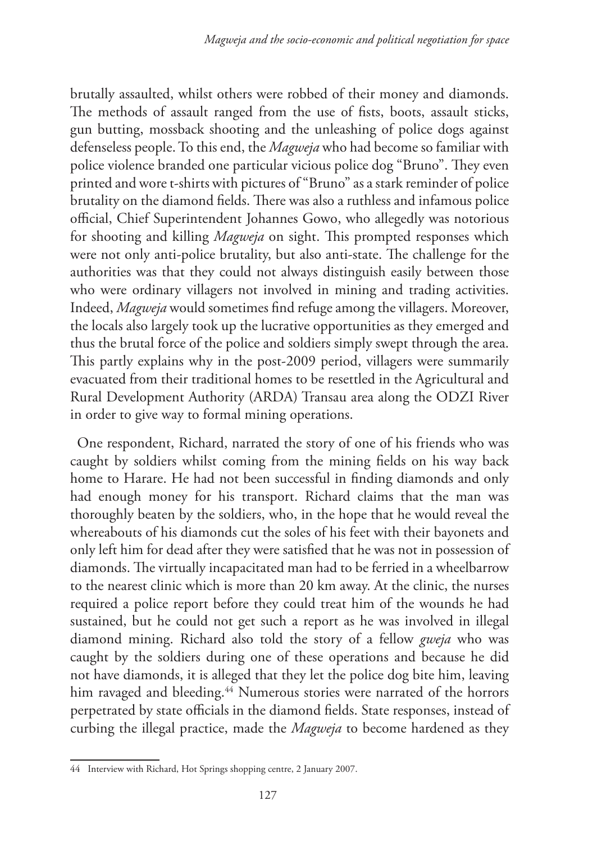brutally assaulted, whilst others were robbed of their money and diamonds. The methods of assault ranged from the use of fists, boots, assault sticks, gun butting, mossback shooting and the unleashing of police dogs against defenseless people. To this end, the *Magweja* who had become so familiar with police violence branded one particular vicious police dog "Bruno". They even printed and wore t-shirts with pictures of "Bruno" as a stark reminder of police brutality on the diamond fields. There was also a ruthless and infamous police official, Chief Superintendent Johannes Gowo, who allegedly was notorious for shooting and killing *Magweja* on sight. This prompted responses which were not only anti-police brutality, but also anti-state. The challenge for the authorities was that they could not always distinguish easily between those who were ordinary villagers not involved in mining and trading activities. Indeed, *Magweja* would sometimes find refuge among the villagers. Moreover, the locals also largely took up the lucrative opportunities as they emerged and thus the brutal force of the police and soldiers simply swept through the area. This partly explains why in the post-2009 period, villagers were summarily evacuated from their traditional homes to be resettled in the Agricultural and Rural Development Authority (ARDA) Transau area along the ODZI River in order to give way to formal mining operations.

One respondent, Richard, narrated the story of one of his friends who was caught by soldiers whilst coming from the mining fields on his way back home to Harare. He had not been successful in finding diamonds and only had enough money for his transport. Richard claims that the man was thoroughly beaten by the soldiers, who, in the hope that he would reveal the whereabouts of his diamonds cut the soles of his feet with their bayonets and only left him for dead after they were satisfied that he was not in possession of diamonds. The virtually incapacitated man had to be ferried in a wheelbarrow to the nearest clinic which is more than 20 km away. At the clinic, the nurses required a police report before they could treat him of the wounds he had sustained, but he could not get such a report as he was involved in illegal diamond mining. Richard also told the story of a fellow *gweja* who was caught by the soldiers during one of these operations and because he did not have diamonds, it is alleged that they let the police dog bite him, leaving him ravaged and bleeding.<sup>44</sup> Numerous stories were narrated of the horrors perpetrated by state officials in the diamond fields. State responses, instead of curbing the illegal practice, made the *Magweja* to become hardened as they

<sup>44</sup> Interview with Richard, Hot Springs shopping centre, 2 January 2007.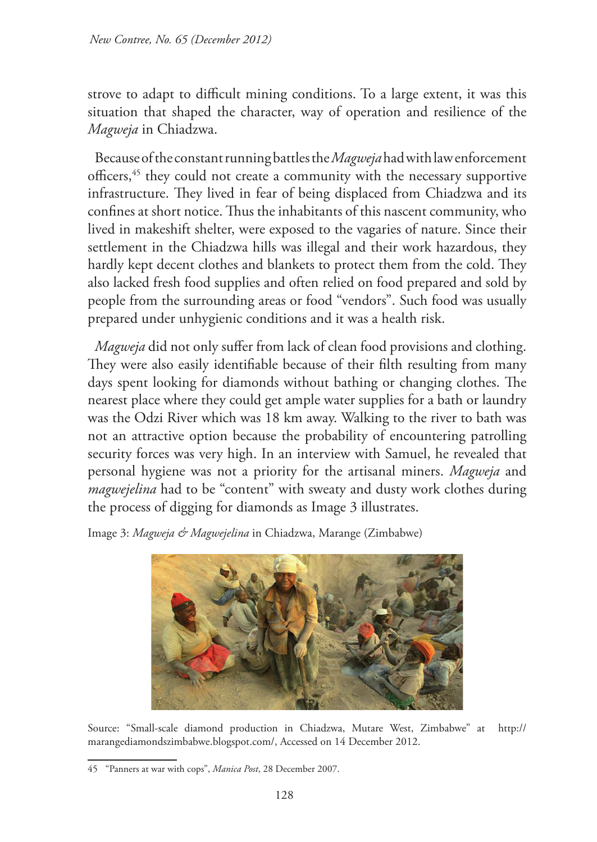strove to adapt to difficult mining conditions. To a large extent, it was this situation that shaped the character, way of operation and resilience of the *Magweja* in Chiadzwa.

Because of the constant running battles the *Magweja* had with law enforcement officers,45 they could not create a community with the necessary supportive infrastructure. They lived in fear of being displaced from Chiadzwa and its confines at short notice. Thus the inhabitants of this nascent community, who lived in makeshift shelter, were exposed to the vagaries of nature. Since their settlement in the Chiadzwa hills was illegal and their work hazardous, they hardly kept decent clothes and blankets to protect them from the cold. They also lacked fresh food supplies and often relied on food prepared and sold by people from the surrounding areas or food "vendors". Such food was usually prepared under unhygienic conditions and it was a health risk.

*Magweja* did not only suffer from lack of clean food provisions and clothing. They were also easily identifiable because of their filth resulting from many days spent looking for diamonds without bathing or changing clothes. The nearest place where they could get ample water supplies for a bath or laundry was the Odzi River which was 18 km away. Walking to the river to bath was not an attractive option because the probability of encountering patrolling security forces was very high. In an interview with Samuel, he revealed that personal hygiene was not a priority for the artisanal miners. *Magweja* and *magwejelina* had to be "content" with sweaty and dusty work clothes during the process of digging for diamonds as Image 3 illustrates.

Image 3: *Magweja & Magwejelina* in Chiadzwa, Marange (Zimbabwe)



Source: "Small-scale diamond production in Chiadzwa, Mutare West, Zimbabwe" at http:// marangediamondszimbabwe.blogspot.com/, Accessed on 14 December 2012.

<sup>45</sup> "Panners at war with cops", *Manica Post*, 28 December 2007.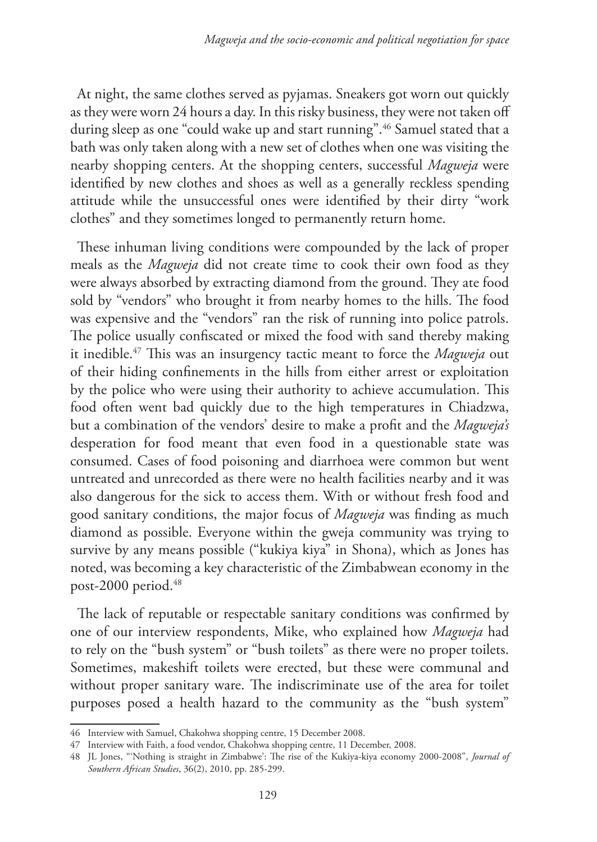At night, the same clothes served as pyjamas. Sneakers got worn out quickly as they were worn 24 hours a day. In this risky business, they were not taken off during sleep as one "could wake up and start running".<sup>46</sup> Samuel stated that a bath was only taken along with a new set of clothes when one was visiting the nearby shopping centers. At the shopping centers, successful *Magweja* were identified by new clothes and shoes as well as a generally reckless spending attitude while the unsuccessful ones were identified by their dirty "work clothes" and they sometimes longed to permanently return home.

These inhuman living conditions were compounded by the lack of proper meals as the *Magweja* did not create time to cook their own food as they were always absorbed by extracting diamond from the ground. They ate food sold by "vendors" who brought it from nearby homes to the hills. The food was expensive and the "vendors" ran the risk of running into police patrols. The police usually confiscated or mixed the food with sand thereby making it inedible.47 This was an insurgency tactic meant to force the *Magweja* out of their hiding confinements in the hills from either arrest or exploitation by the police who were using their authority to achieve accumulation. This food often went bad quickly due to the high temperatures in Chiadzwa, but a combination of the vendors' desire to make a profit and the *Magweja's* desperation for food meant that even food in a questionable state was consumed. Cases of food poisoning and diarrhoea were common but went untreated and unrecorded as there were no health facilities nearby and it was also dangerous for the sick to access them. With or without fresh food and good sanitary conditions, the major focus of *Magweja* was finding as much diamond as possible. Everyone within the gweja community was trying to survive by any means possible ("kukiya kiya" in Shona), which as Jones has noted, was becoming a key characteristic of the Zimbabwean economy in the post-2000 period.48

The lack of reputable or respectable sanitary conditions was confirmed by one of our interview respondents, Mike, who explained how *Magweja* had to rely on the "bush system" or "bush toilets" as there were no proper toilets. Sometimes, makeshift toilets were erected, but these were communal and without proper sanitary ware. The indiscriminate use of the area for toilet purposes posed a health hazard to the community as the "bush system"

<sup>46</sup> Interview with Samuel, Chakohwa shopping centre, 15 December 2008.

<sup>47</sup> Interview with Faith, a food vendor, Chakohwa shopping centre, 11 December, 2008.

<sup>48</sup> JL Jones, "'Nothing is straight in Zimbabwe': The rise of the Kukiya‐kiya economy 2000‐2008", *Journal of Southern African Studies*, 36(2), 2010, pp. 285‐299.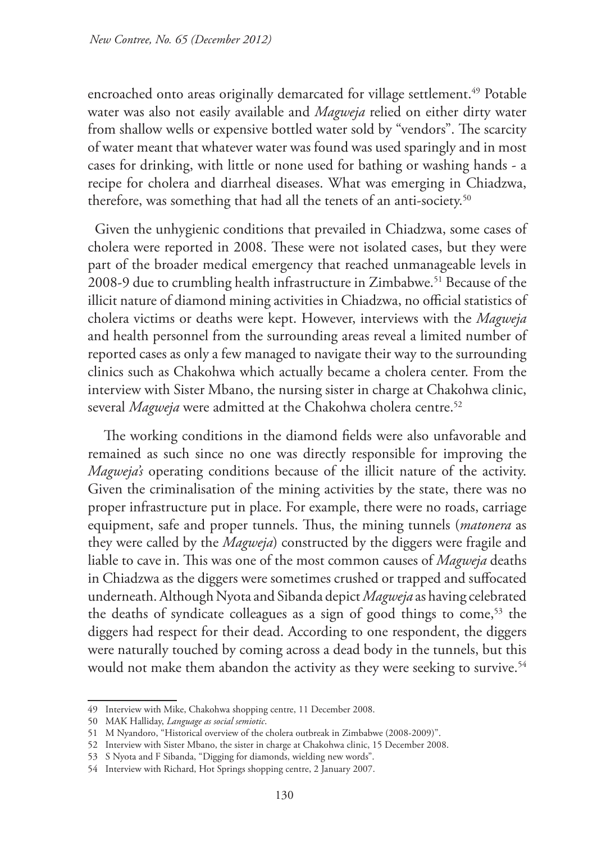encroached onto areas originally demarcated for village settlement.<sup>49</sup> Potable water was also not easily available and *Magweja* relied on either dirty water from shallow wells or expensive bottled water sold by "vendors". The scarcity of water meant that whatever water was found was used sparingly and in most cases for drinking, with little or none used for bathing or washing hands - a recipe for cholera and diarrheal diseases. What was emerging in Chiadzwa, therefore, was something that had all the tenets of an anti-society.<sup>50</sup>

Given the unhygienic conditions that prevailed in Chiadzwa, some cases of cholera were reported in 2008. These were not isolated cases, but they were part of the broader medical emergency that reached unmanageable levels in 2008-9 due to crumbling health infrastructure in Zimbabwe.<sup>51</sup> Because of the illicit nature of diamond mining activities in Chiadzwa, no official statistics of cholera victims or deaths were kept. However, interviews with the *Magweja* and health personnel from the surrounding areas reveal a limited number of reported cases as only a few managed to navigate their way to the surrounding clinics such as Chakohwa which actually became a cholera center. From the interview with Sister Mbano, the nursing sister in charge at Chakohwa clinic, several *Magweja* were admitted at the Chakohwa cholera centre.<sup>52</sup>

 The working conditions in the diamond fields were also unfavorable and remained as such since no one was directly responsible for improving the *Magweja's* operating conditions because of the illicit nature of the activity. Given the criminalisation of the mining activities by the state, there was no proper infrastructure put in place. For example, there were no roads, carriage equipment, safe and proper tunnels. Thus, the mining tunnels (*matonera* as they were called by the *Magweja*) constructed by the diggers were fragile and liable to cave in. This was one of the most common causes of *Magweja* deaths in Chiadzwa as the diggers were sometimes crushed or trapped and suffocated underneath. Although Nyota and Sibanda depict *Magweja* as having celebrated the deaths of syndicate colleagues as a sign of good things to come,<sup>53</sup> the diggers had respect for their dead. According to one respondent, the diggers were naturally touched by coming across a dead body in the tunnels, but this would not make them abandon the activity as they were seeking to survive.<sup>54</sup>

<sup>49</sup> Interview with Mike, Chakohwa shopping centre, 11 December 2008.

<sup>50</sup> MAK Halliday, *Language as social semiotic*.

<sup>51</sup> M Nyandoro, "Historical overview of the cholera outbreak in Zimbabwe (2008-2009)".

<sup>52</sup> Interview with Sister Mbano, the sister in charge at Chakohwa clinic, 15 December 2008.

<sup>53</sup> S Nyota and F Sibanda, "Digging for diamonds, wielding new words".

<sup>54</sup> Interview with Richard, Hot Springs shopping centre, 2 January 2007.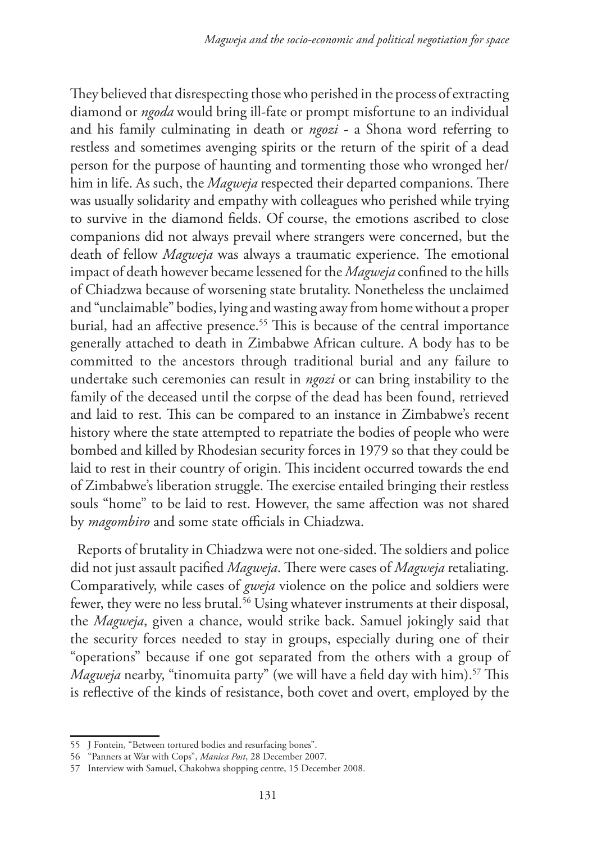They believed that disrespecting those who perished in the process of extracting diamond or *ngoda* would bring ill-fate or prompt misfortune to an individual and his family culminating in death or *ngozi* - a Shona word referring to restless and sometimes avenging spirits or the return of the spirit of a dead person for the purpose of haunting and tormenting those who wronged her/ him in life. As such, the *Magweja* respected their departed companions. There was usually solidarity and empathy with colleagues who perished while trying to survive in the diamond fields. Of course, the emotions ascribed to close companions did not always prevail where strangers were concerned, but the death of fellow *Magweja* was always a traumatic experience. The emotional impact of death however became lessened for the *Magweja* confined to the hills of Chiadzwa because of worsening state brutality. Nonetheless the unclaimed and "unclaimable" bodies, lying and wasting away from home without a proper burial, had an affective presence.<sup>55</sup> This is because of the central importance generally attached to death in Zimbabwe African culture. A body has to be committed to the ancestors through traditional burial and any failure to undertake such ceremonies can result in *ngozi* or can bring instability to the family of the deceased until the corpse of the dead has been found, retrieved and laid to rest. This can be compared to an instance in Zimbabwe's recent history where the state attempted to repatriate the bodies of people who were bombed and killed by Rhodesian security forces in 1979 so that they could be laid to rest in their country of origin. This incident occurred towards the end of Zimbabwe's liberation struggle. The exercise entailed bringing their restless souls "home" to be laid to rest. However, the same affection was not shared by *magombiro* and some state officials in Chiadzwa.

Reports of brutality in Chiadzwa were not one-sided. The soldiers and police did not just assault pacified *Magweja*. There were cases of *Magweja* retaliating. Comparatively, while cases of *gweja* violence on the police and soldiers were fewer, they were no less brutal.<sup>56</sup> Using whatever instruments at their disposal, the *Magweja*, given a chance, would strike back. Samuel jokingly said that the security forces needed to stay in groups, especially during one of their "operations" because if one got separated from the others with a group of *Magweja* nearby, "tinomuita party" (we will have a field day with him).<sup>57</sup> This is reflective of the kinds of resistance, both covet and overt, employed by the

<sup>55</sup> J Fontein, "Between tortured bodies and resurfacing bones".

<sup>56</sup> "Panners at War with Cops", *Manica Post*, 28 December 2007.

<sup>57</sup> Interview with Samuel, Chakohwa shopping centre, 15 December 2008.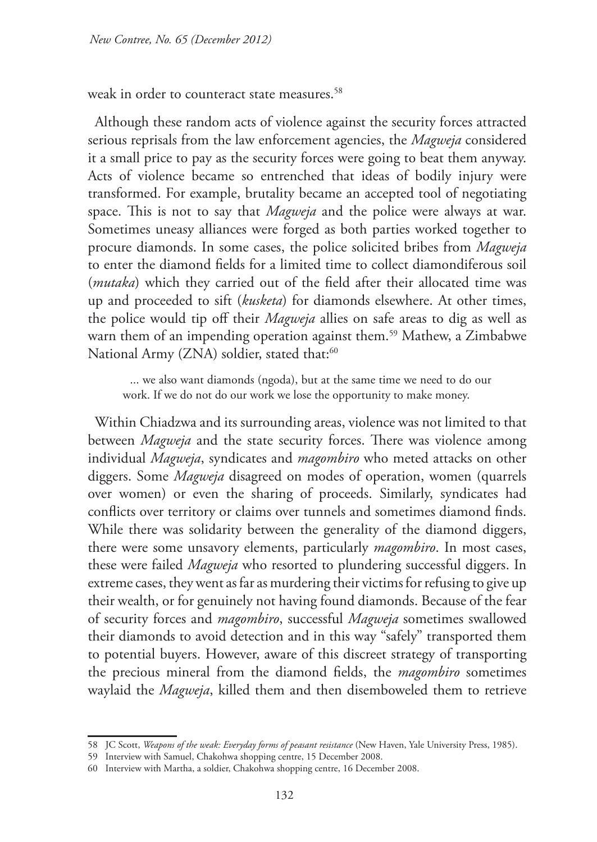weak in order to counteract state measures.<sup>58</sup>

Although these random acts of violence against the security forces attracted serious reprisals from the law enforcement agencies, the *Magweja* considered it a small price to pay as the security forces were going to beat them anyway. Acts of violence became so entrenched that ideas of bodily injury were transformed. For example, brutality became an accepted tool of negotiating space. This is not to say that *Magweja* and the police were always at war. Sometimes uneasy alliances were forged as both parties worked together to procure diamonds. In some cases, the police solicited bribes from *Magweja* to enter the diamond fields for a limited time to collect diamondiferous soil (*mutaka*) which they carried out of the field after their allocated time was up and proceeded to sift (*kusketa*) for diamonds elsewhere. At other times, the police would tip off their *Magweja* allies on safe areas to dig as well as warn them of an impending operation against them.<sup>59</sup> Mathew, a Zimbabwe National Army (ZNA) soldier, stated that:<sup>60</sup>

... we also want diamonds (ngoda), but at the same time we need to do our work. If we do not do our work we lose the opportunity to make money.

Within Chiadzwa and its surrounding areas, violence was not limited to that between *Magweja* and the state security forces. There was violence among individual *Magweja*, syndicates and *magombiro* who meted attacks on other diggers. Some *Magweja* disagreed on modes of operation, women (quarrels over women) or even the sharing of proceeds. Similarly, syndicates had conflicts over territory or claims over tunnels and sometimes diamond finds. While there was solidarity between the generality of the diamond diggers, there were some unsavory elements, particularly *magombiro*. In most cases, these were failed *Magweja* who resorted to plundering successful diggers. In extreme cases, they went as far as murdering their victims for refusing to give up their wealth, or for genuinely not having found diamonds. Because of the fear of security forces and *magombiro*, successful *Magweja* sometimes swallowed their diamonds to avoid detection and in this way "safely" transported them to potential buyers. However, aware of this discreet strategy of transporting the precious mineral from the diamond fields, the *magombiro* sometimes waylaid the *Magweja*, killed them and then disemboweled them to retrieve

<sup>58</sup> JC Scott, *Weapons of the weak: Everyday forms of peasant resistance* (New Haven, Yale University Press, 1985).

<sup>59</sup> Interview with Samuel, Chakohwa shopping centre, 15 December 2008.

<sup>60</sup> Interview with Martha, a soldier, Chakohwa shopping centre, 16 December 2008.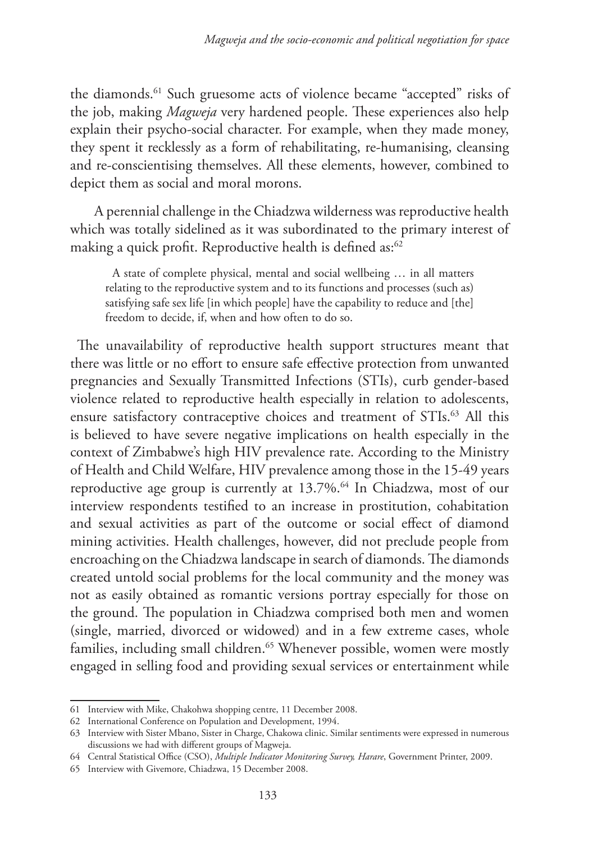the diamonds.61 Such gruesome acts of violence became "accepted" risks of the job, making *Magweja* very hardened people. These experiences also help explain their psycho-social character. For example, when they made money, they spent it recklessly as a form of rehabilitating, re-humanising, cleansing and re-conscientising themselves. All these elements, however, combined to depict them as social and moral morons.

 A perennial challenge in the Chiadzwa wilderness was reproductive health which was totally sidelined as it was subordinated to the primary interest of making a quick profit. Reproductive health is defined as:<sup>62</sup>

A state of complete physical, mental and social wellbeing … in all matters relating to the reproductive system and to its functions and processes (such as) satisfying safe sex life [in which people] have the capability to reduce and [the] freedom to decide, if, when and how often to do so.

The unavailability of reproductive health support structures meant that there was little or no effort to ensure safe effective protection from unwanted pregnancies and Sexually Transmitted Infections (STIs), curb gender-based violence related to reproductive health especially in relation to adolescents, ensure satisfactory contraceptive choices and treatment of STIs.<sup>63</sup> All this is believed to have severe negative implications on health especially in the context of Zimbabwe's high HIV prevalence rate. According to the Ministry of Health and Child Welfare, HIV prevalence among those in the 15-49 years reproductive age group is currently at 13.7%.64 In Chiadzwa, most of our interview respondents testified to an increase in prostitution, cohabitation and sexual activities as part of the outcome or social effect of diamond mining activities. Health challenges, however, did not preclude people from encroaching on the Chiadzwa landscape in search of diamonds. The diamonds created untold social problems for the local community and the money was not as easily obtained as romantic versions portray especially for those on the ground. The population in Chiadzwa comprised both men and women (single, married, divorced or widowed) and in a few extreme cases, whole families, including small children.<sup>65</sup> Whenever possible, women were mostly engaged in selling food and providing sexual services or entertainment while

<sup>61</sup> Interview with Mike, Chakohwa shopping centre, 11 December 2008.

<sup>62</sup> International Conference on Population and Development, 1994.

<sup>63</sup> Interview with Sister Mbano, Sister in Charge, Chakowa clinic. Similar sentiments were expressed in numerous discussions we had with different groups of Magweja.

<sup>64</sup> Central Statistical Office (CSO), *Multiple Indicator Monitoring Survey, Harare*, Government Printer, 2009.

<sup>65</sup> Interview with Givemore, Chiadzwa, 15 December 2008.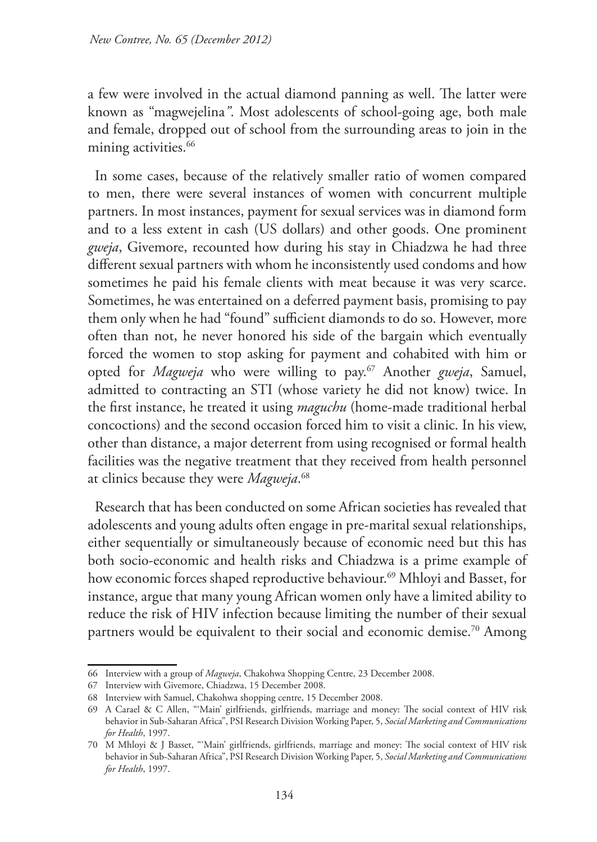a few were involved in the actual diamond panning as well. The latter were known as "magwejelina*"*. Most adolescents of school-going age, both male and female, dropped out of school from the surrounding areas to join in the mining activities.<sup>66</sup>

In some cases, because of the relatively smaller ratio of women compared to men, there were several instances of women with concurrent multiple partners. In most instances, payment for sexual services was in diamond form and to a less extent in cash (US dollars) and other goods. One prominent *gweja*, Givemore, recounted how during his stay in Chiadzwa he had three different sexual partners with whom he inconsistently used condoms and how sometimes he paid his female clients with meat because it was very scarce. Sometimes, he was entertained on a deferred payment basis, promising to pay them only when he had "found" sufficient diamonds to do so. However, more often than not, he never honored his side of the bargain which eventually forced the women to stop asking for payment and cohabited with him or opted for *Magweja* who were willing to pay.<sup>67</sup> Another *gweja*, Samuel, admitted to contracting an STI (whose variety he did not know) twice. In the first instance, he treated it using *maguchu* (home-made traditional herbal concoctions) and the second occasion forced him to visit a clinic. In his view, other than distance, a major deterrent from using recognised or formal health facilities was the negative treatment that they received from health personnel at clinics because they were *Magweja*. 68

Research that has been conducted on some African societies has revealed that adolescents and young adults often engage in pre-marital sexual relationships, either sequentially or simultaneously because of economic need but this has both socio-economic and health risks and Chiadzwa is a prime example of how economic forces shaped reproductive behaviour.<sup>69</sup> Mhloyi and Basset, for instance, argue that many young African women only have a limited ability to reduce the risk of HIV infection because limiting the number of their sexual partners would be equivalent to their social and economic demise.<sup>70</sup> Among

<sup>66</sup> Interview with a group of *Magweja*, Chakohwa Shopping Centre, 23 December 2008.

<sup>67</sup> Interview with Givemore, Chiadzwa, 15 December 2008.

<sup>68</sup> Interview with Samuel, Chakohwa shopping centre, 15 December 2008.

<sup>69</sup> A Carael & C Allen, "'Main' girlfriends, girlfriends, marriage and money: The social context of HIV risk behavior in Sub-Saharan Africa", PSI Research Division Working Paper, 5, *Social Marketing and Communications for Health*, 1997.

<sup>70</sup> M Mhloyi & J Basset, "'Main' girlfriends, girlfriends, marriage and money: The social context of HIV risk behavior in Sub-Saharan Africa", PSI Research Division Working Paper, 5, *Social Marketing and Communications for Health*, 1997.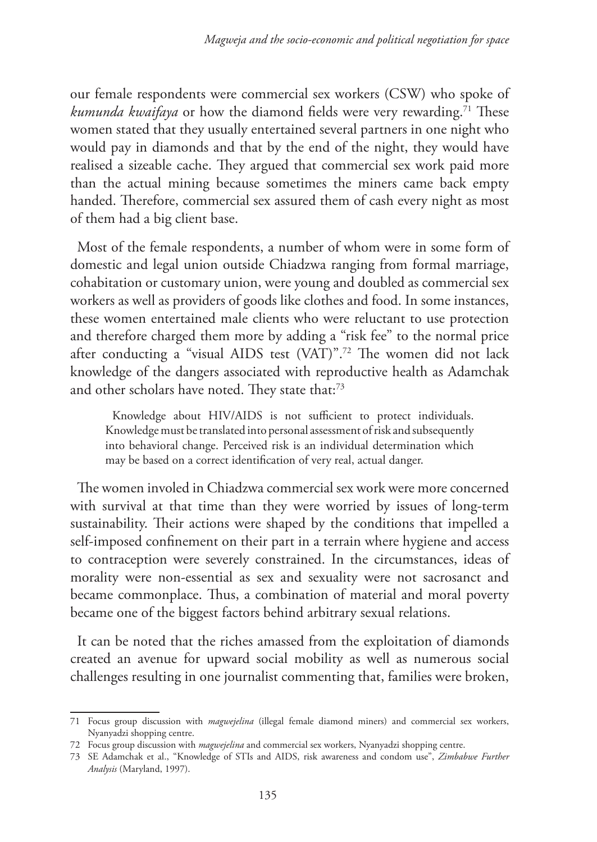our female respondents were commercial sex workers (CSW) who spoke of *kumunda kwaifaya* or how the diamond fields were very rewarding.<sup>71</sup> These women stated that they usually entertained several partners in one night who would pay in diamonds and that by the end of the night, they would have realised a sizeable cache. They argued that commercial sex work paid more than the actual mining because sometimes the miners came back empty handed. Therefore, commercial sex assured them of cash every night as most of them had a big client base.

Most of the female respondents, a number of whom were in some form of domestic and legal union outside Chiadzwa ranging from formal marriage, cohabitation or customary union, were young and doubled as commercial sex workers as well as providers of goods like clothes and food. In some instances, these women entertained male clients who were reluctant to use protection and therefore charged them more by adding a "risk fee" to the normal price after conducting a "visual AIDS test (VAT)".72 The women did not lack knowledge of the dangers associated with reproductive health as Adamchak and other scholars have noted. They state that:<sup>73</sup>

Knowledge about HIV/AIDS is not sufficient to protect individuals. Knowledge must be translated into personal assessment of risk and subsequently into behavioral change. Perceived risk is an individual determination which may be based on a correct identification of very real, actual danger.

The women involed in Chiadzwa commercial sex work were more concerned with survival at that time than they were worried by issues of long-term sustainability. Their actions were shaped by the conditions that impelled a self-imposed confinement on their part in a terrain where hygiene and access to contraception were severely constrained. In the circumstances, ideas of morality were non-essential as sex and sexuality were not sacrosanct and became commonplace. Thus, a combination of material and moral poverty became one of the biggest factors behind arbitrary sexual relations.

It can be noted that the riches amassed from the exploitation of diamonds created an avenue for upward social mobility as well as numerous social challenges resulting in one journalist commenting that, families were broken,

<sup>71</sup> Focus group discussion with *magwejelina* (illegal female diamond miners) and commercial sex workers, Nyanyadzi shopping centre.

<sup>72</sup> Focus group discussion with *magwejelina* and commercial sex workers, Nyanyadzi shopping centre.

<sup>73</sup> SE Adamchak et al., "Knowledge of STIs and AIDS, risk awareness and condom use", *Zimbabwe Further Analysis* (Maryland, 1997).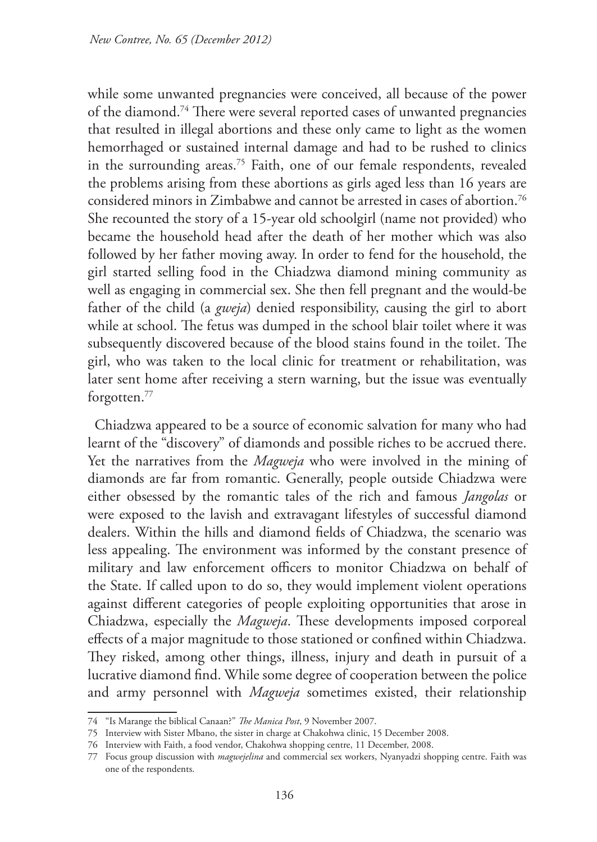while some unwanted pregnancies were conceived, all because of the power of the diamond.74 There were several reported cases of unwanted pregnancies that resulted in illegal abortions and these only came to light as the women hemorrhaged or sustained internal damage and had to be rushed to clinics in the surrounding areas.<sup>75</sup> Faith, one of our female respondents, revealed the problems arising from these abortions as girls aged less than 16 years are considered minors in Zimbabwe and cannot be arrested in cases of abortion.76 She recounted the story of a 15-year old schoolgirl (name not provided) who became the household head after the death of her mother which was also followed by her father moving away. In order to fend for the household, the girl started selling food in the Chiadzwa diamond mining community as well as engaging in commercial sex. She then fell pregnant and the would-be father of the child (a *gweja*) denied responsibility, causing the girl to abort while at school. The fetus was dumped in the school blair toilet where it was subsequently discovered because of the blood stains found in the toilet. The girl, who was taken to the local clinic for treatment or rehabilitation, was later sent home after receiving a stern warning, but the issue was eventually forgotten.77

Chiadzwa appeared to be a source of economic salvation for many who had learnt of the "discovery" of diamonds and possible riches to be accrued there. Yet the narratives from the *Magweja* who were involved in the mining of diamonds are far from romantic. Generally, people outside Chiadzwa were either obsessed by the romantic tales of the rich and famous *Jangolas* or were exposed to the lavish and extravagant lifestyles of successful diamond dealers. Within the hills and diamond fields of Chiadzwa, the scenario was less appealing. The environment was informed by the constant presence of military and law enforcement officers to monitor Chiadzwa on behalf of the State. If called upon to do so, they would implement violent operations against different categories of people exploiting opportunities that arose in Chiadzwa, especially the *Magweja*. These developments imposed corporeal effects of a major magnitude to those stationed or confined within Chiadzwa. They risked, among other things, illness, injury and death in pursuit of a lucrative diamond find. While some degree of cooperation between the police and army personnel with *Magweja* sometimes existed, their relationship

<sup>74</sup> "Is Marange the biblical Canaan?" *The Manica Post*, 9 November 2007.

<sup>75</sup> Interview with Sister Mbano, the sister in charge at Chakohwa clinic, 15 December 2008.

<sup>76</sup> Interview with Faith, a food vendor, Chakohwa shopping centre, 11 December, 2008.

<sup>77</sup> Focus group discussion with *magwejelina* and commercial sex workers, Nyanyadzi shopping centre. Faith was one of the respondents.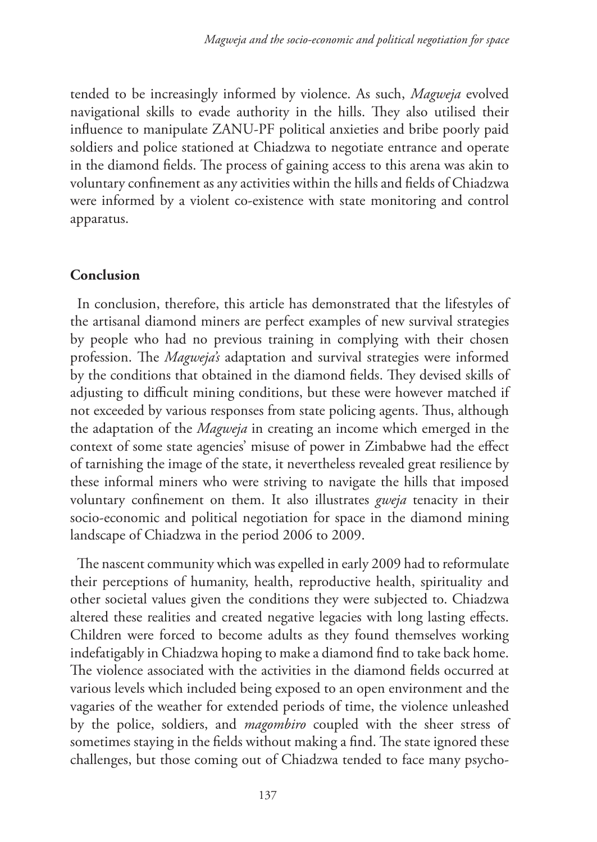tended to be increasingly informed by violence. As such, *Magweja* evolved navigational skills to evade authority in the hills. They also utilised their influence to manipulate ZANU-PF political anxieties and bribe poorly paid soldiers and police stationed at Chiadzwa to negotiate entrance and operate in the diamond fields. The process of gaining access to this arena was akin to voluntary confinement as any activities within the hills and fields of Chiadzwa were informed by a violent co-existence with state monitoring and control apparatus.

# **Conclusion**

In conclusion, therefore, this article has demonstrated that the lifestyles of the artisanal diamond miners are perfect examples of new survival strategies by people who had no previous training in complying with their chosen profession. The *Magweja's* adaptation and survival strategies were informed by the conditions that obtained in the diamond fields. They devised skills of adjusting to difficult mining conditions, but these were however matched if not exceeded by various responses from state policing agents. Thus, although the adaptation of the *Magweja* in creating an income which emerged in the context of some state agencies' misuse of power in Zimbabwe had the effect of tarnishing the image of the state, it nevertheless revealed great resilience by these informal miners who were striving to navigate the hills that imposed voluntary confinement on them. It also illustrates *gweja* tenacity in their socio-economic and political negotiation for space in the diamond mining landscape of Chiadzwa in the period 2006 to 2009.

The nascent community which was expelled in early 2009 had to reformulate their perceptions of humanity, health, reproductive health, spirituality and other societal values given the conditions they were subjected to. Chiadzwa altered these realities and created negative legacies with long lasting effects. Children were forced to become adults as they found themselves working indefatigably in Chiadzwa hoping to make a diamond find to take back home. The violence associated with the activities in the diamond fields occurred at various levels which included being exposed to an open environment and the vagaries of the weather for extended periods of time, the violence unleashed by the police, soldiers, and *magombiro* coupled with the sheer stress of sometimes staying in the fields without making a find. The state ignored these challenges, but those coming out of Chiadzwa tended to face many psycho